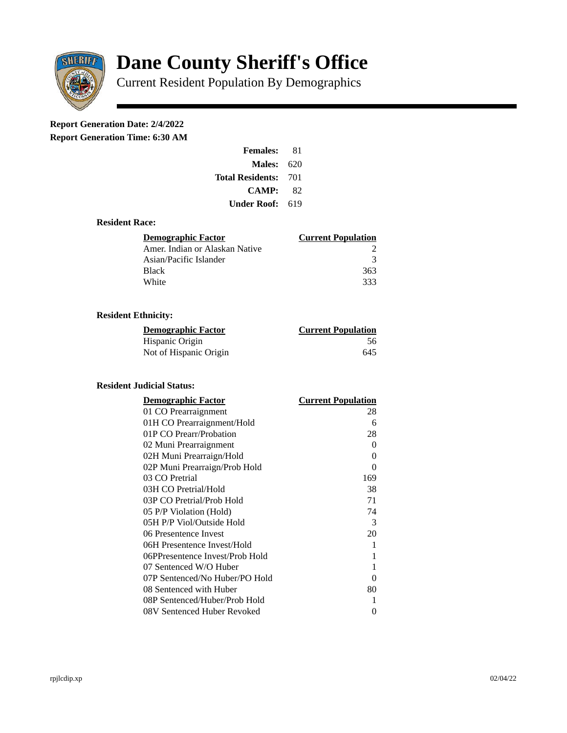

# **Dane County Sheriff's Office**

Current Resident Population By Demographics

# **Report Generation Date: 2/4/2022**

**Report Generation Time: 6:30 AM** 

| <b>Females:</b>         | 81   |
|-------------------------|------|
| Males:                  | 620  |
| <b>Total Residents:</b> | -701 |
| <b>CAMP:</b>            | 82   |
| Under Roof: \           | 619  |

#### **Resident Race:**

| Demographic Factor             | <b>Current Population</b> |
|--------------------------------|---------------------------|
| Amer. Indian or Alaskan Native |                           |
| Asian/Pacific Islander         | २                         |
| <b>Black</b>                   | 363                       |
| White                          | २२२                       |

## **Resident Ethnicity:**

| <u>Demographic Factor</u> | <u>Current Population</u> |
|---------------------------|---------------------------|
| Hispanic Origin           | 56                        |
| Not of Hispanic Origin    | 645                       |

### **Resident Judicial Status:**

| <b>Demographic Factor</b>       | <b>Current Population</b> |
|---------------------------------|---------------------------|
| 01 CO Prearraignment            | 28                        |
| 01H CO Prearraignment/Hold      | 6                         |
| 01P CO Prearr/Probation         | 28                        |
| 02 Muni Prearraignment          | 0                         |
| 02H Muni Prearraign/Hold        | 0                         |
| 02P Muni Prearraign/Prob Hold   | 0                         |
| 03 CO Pretrial                  | 169                       |
| 03H CO Pretrial/Hold            | 38                        |
| 03P CO Pretrial/Prob Hold       | 71                        |
| 05 P/P Violation (Hold)         | 74                        |
| 05H P/P Viol/Outside Hold       | 3                         |
| 06 Presentence Invest           | 20                        |
| 06H Presentence Invest/Hold     | $\mathbf{1}$              |
| 06PPresentence Invest/Prob Hold | 1                         |
| 07 Sentenced W/O Huber          | 1                         |
| 07P Sentenced/No Huber/PO Hold  | 0                         |
| 08 Sentenced with Huber         | 80                        |
| 08P Sentenced/Huber/Prob Hold   | 1                         |
| 08V Sentenced Huber Revoked     | 0                         |